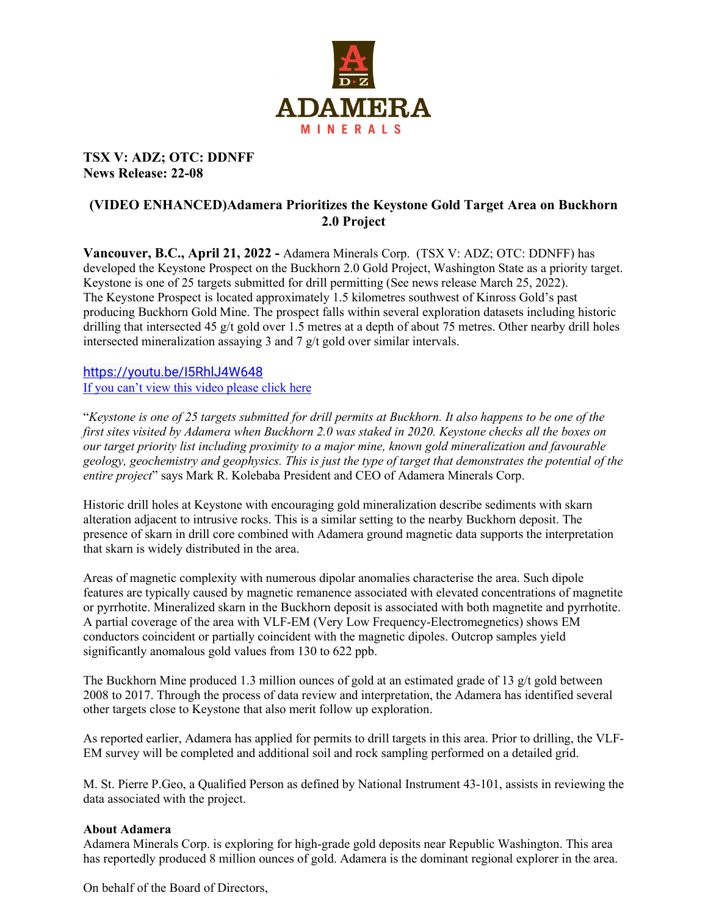

## **TSX V: ADZ; OTC: DDNFF News Release: 22-08**

## **(VIDEO ENHANCED)Adamera Prioritizes the Keystone Gold Target Area on Buckhorn 2.0 Project**

**Vancouver, B.C., April 21, 2022 -** Adamera Minerals Corp. (TSX V: ADZ; OTC: DDNFF) has developed the Keystone Prospect on the Buckhorn 2.0 Gold Project, Washington State as a priority target. Keystone is one of 25 targets submitted for drill permitting (See news release March 25, 2022). The Keystone Prospect is located approximately 1.5 kilometres southwest of Kinross Gold's past producing Buckhorn Gold Mine. The prospect falls within several exploration datasets including historic drilling that intersected 45 g/t gold over 1.5 metres at a depth of about 75 metres. Other nearby drill holes intersected mineralization assaying 3 and 7 g/t gold over similar intervals.

## <https://youtu.be/I5RhlJ4W648> [If you can't view this video please click here](https://youtu.be/I5RhlJ4W648)

"*Keystone is one of 25 targets submitted for drill permits at Buckhorn. It also happens to be one of the first sites visited by Adamera when Buckhorn 2.0 was staked in 2020. Keystone checks all the boxes on our target priority list including proximity to a major mine, known gold mineralization and favourable geology, geochemistry and geophysics. This is just the type of target that demonstrates the potential of the entire project*" says Mark R. Kolebaba President and CEO of Adamera Minerals Corp.

Historic drill holes at Keystone with encouraging gold mineralization describe sediments with skarn alteration adjacent to intrusive rocks. This is a similar setting to the nearby Buckhorn deposit. The presence of skarn in drill core combined with Adamera ground magnetic data supports the interpretation that skarn is widely distributed in the area.

Areas of magnetic complexity with numerous dipolar anomalies characterise the area. Such dipole features are typically caused by magnetic remanence associated with elevated concentrations of magnetite or pyrrhotite. Mineralized skarn in the Buckhorn deposit is associated with both magnetite and pyrrhotite. A partial coverage of the area with VLF-EM (Very Low Frequency-Electromegnetics) shows EM conductors coincident or partially coincident with the magnetic dipoles. Outcrop samples yield significantly anomalous gold values from 130 to 622 ppb.

The Buckhorn Mine produced 1.3 million ounces of gold at an estimated grade of 13 g/t gold between 2008 to 2017. Through the process of data review and interpretation, the Adamera has identified several other targets close to Keystone that also merit follow up exploration.

As reported earlier, Adamera has applied for permits to drill targets in this area. Prior to drilling, the VLF-EM survey will be completed and additional soil and rock sampling performed on a detailed grid.

M. St. Pierre P.Geo, a Qualified Person as defined by National Instrument 43-101, assists in reviewing the data associated with the project.

## **About Adamera**

Adamera Minerals Corp. is exploring for high-grade gold deposits near Republic Washington. This area has reportedly produced 8 million ounces of gold. Adamera is the dominant regional explorer in the area.

On behalf of the Board of Directors,